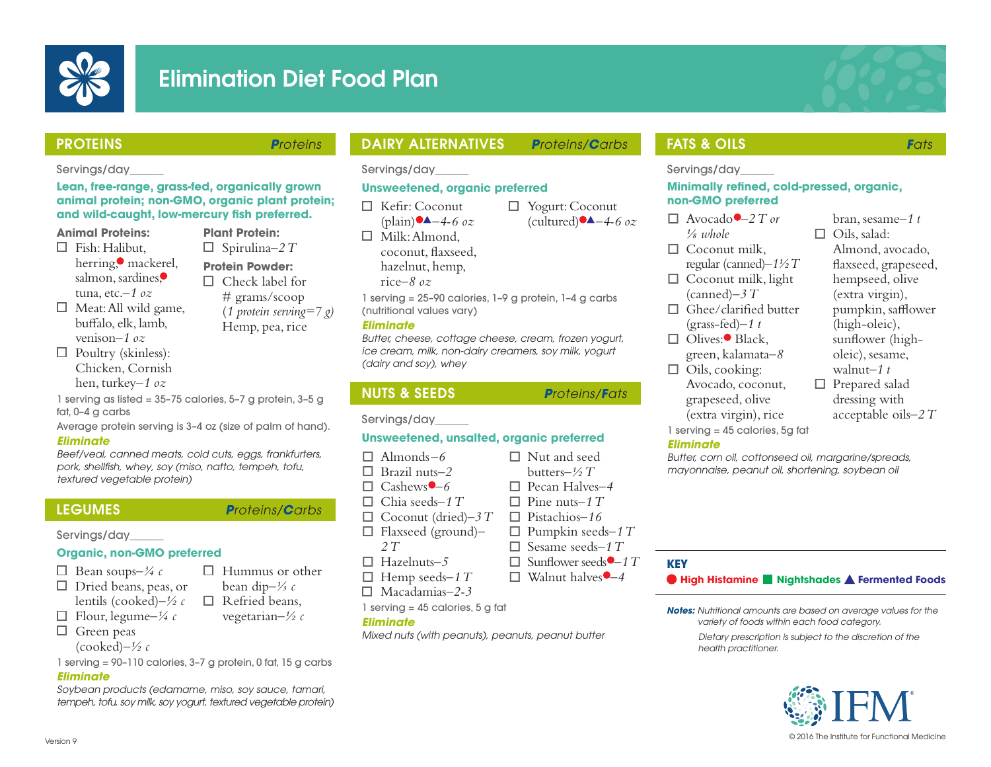

# Elimination Diet Food Plan

### PROTEINS **P**roteins

Servings/day\_\_\_\_\_\_

**Animal Proteins:**  $\Box$  Fish: Halibut

herring, mackerel, salmon, sardines, tuna, etc.–*1 oz*  $\Box$  Meat: All wild game, bufalo, elk, lamb, venison*–1 oz*  $\Box$  Poultry (skinless): Chicken, Cornish

## DAIRY ALTERNATIVES **P**roteins/**C**arbs

Yogurt: Coconut  $(cultured)$ <sup> $\blacktriangle$ </sup> $-4$ -6 *oz* 

Servings/day\_\_\_\_\_\_

## **Unsweetened, organic preferred**

Kefr: Coconut  $(hlain)$ <sup> $\blacktriangle$ </sup> $-4$ -6 *oz* 

 $\Box$  Milk: Almond, coconut, faxseed, hazelnut, hemp, rice*–8 oz*

1 serving = 25–90 calories, 1–9 g protein, 1–4 g carbs (nutritional values vary)

### **Eliminate**

Butter, cheese, cottage cheese, cream, frozen yogurt, ice cream, milk, non-dairy creamers, soy milk, yogurt (dairy and soy), whey

## NUTS & SEEDS **P**roteins/**F**ats

Servings/day\_\_\_\_\_\_

## **Unsweetened, unsalted, organic preferred**

- $\Box$  Almonds-6  $\Box$  Brazil nuts–2  $\Box$  Cashews  $\bigcirc$  –6  $\Box$  Chia seeds–1 T  $\Box$  Coconut (dried)–3 T o Flaxseed (ground)*– 2 T*  $\Box$  Hazelnuts-5  $\Box$  Nut and seed butters*–½ T* o Pecan Halves*–4*  $\Box$  Pine nuts–1 T o Pistachios*–16*  $\Box$  Pumpkin seeds–1 T  $\Box$  Sesame seeds–1 T  $\Box$  Sunflower seeds  $\Box$  1 T  $\Box$  Walnut halves  $\Box$  4
- 
- 

Mixed nuts (with peanuts), peanuts, peanut butter

## **FATS & OILS Fats**

Servings/day

### **Minimally refned, cold-pressed, organic, non-GMO preferred**

| $\Box$ Avocado $-2T$ or            | bran, sesame–1 t      |
|------------------------------------|-----------------------|
| $\frac{1}{8}$ whole                | $\Box$ Oils, salad:   |
| $\Box$ Coconut milk,               | Almond, avocado,      |
| regular (canned) $-1\frac{1}{2}T$  | flaxseed, grapeseed,  |
| $\Box$ Coconut milk, light         | hempseed, olive       |
| $(canned) - 3T$                    | (extra virgin),       |
| $\Box$ Ghee/clarified butter       | pumpkin, safflower    |
| $(grass-fed)-1$ t                  | (high-oleic),         |
| $\Box$ Olives: <sup>•</sup> Black, | sunflower (high-      |
| green, kalamata-8                  | oleic), sesame,       |
| $\Box$ Oils, cooking:              | walnut- $1t$          |
| Avocado, coconut,                  | $\Box$ Prepared salad |
| grapeseed, olive                   | dressing with         |

- acceptable oils*–2 T*
- 1 serving = 45 calories, 5g fat **Eliminate**

(extra virgin), rice

Butter, corn oil, cottonseed oil, margarine/spreads, mayonnaise, peanut oil, shortening, soybean oil

- $\Box$  Hemp seeds–1 T
- 

## **KEY**

**High Histamine Nightshades Fermented Foods**

**Notes:** Nutritional amounts are based on average values for the variety of foods within each food category.

> Dietary prescription is subject to the discretion of the health practitioner.



hen, turkey*–1 oz* 1 serving as listed = 35–75 calories, 5–7 g protein, 3–5 g Average protein serving is 3–4 oz (size of palm of hand).

**Plant Protein:** Spirulina*–2 T* **Protein Powder:**  $\Box$  Check label for # grams/scoop (*1 protein serving=7 g)* Hemp, pea, rice

Beef/veal, canned meats, cold cuts, eggs, frankfurters, pork, shellfsh, whey, soy (miso, natto, tempeh, tofu, textured vegetable protein)

**Lean, free-range, grass-fed, organically grown animal protein; non-GMO, organic plant protein; and wild-caught, low-mercury fsh preferred.**

fat, 0–4 g carbs

**Eliminate**

### Servings/day\_\_\_\_\_\_

### **Organic, non-GMO preferred**

- Bean soups*–¾ c*
- $\Box$  Dried beans, peas, or lentils (cooked)*–½ c*
- $\Box$  Flour, legume– $\frac{1}{4}c$
- $\Box$  Green peas
	- (cooked)*–½ c*

1 serving = 90–110 calories, 3–7 g protein, 0 fat, 15 g carbs

### **Eliminate**

Soybean products (edamame, miso, soy sauce, tamari, tempeh, tofu, soy milk, soy yogurt, textured vegetable protein)

- LEGUMES **P**roteins/**C**arbs
	- - - -
			-
			-

1 serving = 45 calories, 5 g fat

## $\Box$  Hummus or other bean dip*–⅓ c*

Macadamias*–2-3*

- 
- 
- 

**Eliminate**

 $\Box$  Refried beans, vegetarian*–½ c*